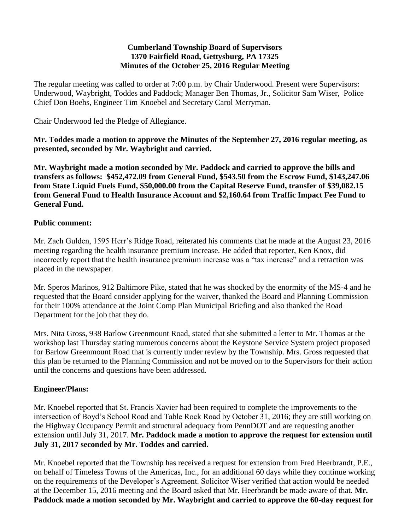#### **Cumberland Township Board of Supervisors 1370 Fairfield Road, Gettysburg, PA 17325 Minutes of the October 25, 2016 Regular Meeting**

The regular meeting was called to order at 7:00 p.m. by Chair Underwood. Present were Supervisors: Underwood, Waybright, Toddes and Paddock; Manager Ben Thomas, Jr., Solicitor Sam Wiser, Police Chief Don Boehs, Engineer Tim Knoebel and Secretary Carol Merryman.

Chair Underwood led the Pledge of Allegiance.

**Mr. Toddes made a motion to approve the Minutes of the September 27, 2016 regular meeting, as presented, seconded by Mr. Waybright and carried.**

**Mr. Waybright made a motion seconded by Mr. Paddock and carried to approve the bills and transfers as follows: \$452,472.09 from General Fund, \$543.50 from the Escrow Fund, \$143,247.06 from State Liquid Fuels Fund, \$50,000.00 from the Capital Reserve Fund, transfer of \$39,082.15 from General Fund to Health Insurance Account and \$2,160.64 from Traffic Impact Fee Fund to General Fund.**

## **Public comment:**

Mr. Zach Gulden, 1595 Herr's Ridge Road, reiterated his comments that he made at the August 23, 2016 meeting regarding the health insurance premium increase. He added that reporter, Ken Knox, did incorrectly report that the health insurance premium increase was a "tax increase" and a retraction was placed in the newspaper.

Mr. Speros Marinos, 912 Baltimore Pike, stated that he was shocked by the enormity of the MS-4 and he requested that the Board consider applying for the waiver, thanked the Board and Planning Commission for their 100% attendance at the Joint Comp Plan Municipal Briefing and also thanked the Road Department for the job that they do.

Mrs. Nita Gross, 938 Barlow Greenmount Road, stated that she submitted a letter to Mr. Thomas at the workshop last Thursday stating numerous concerns about the Keystone Service System project proposed for Barlow Greenmount Road that is currently under review by the Township. Mrs. Gross requested that this plan be returned to the Planning Commission and not be moved on to the Supervisors for their action until the concerns and questions have been addressed.

# **Engineer/Plans:**

Mr. Knoebel reported that St. Francis Xavier had been required to complete the improvements to the intersection of Boyd's School Road and Table Rock Road by October 31, 2016; they are still working on the Highway Occupancy Permit and structural adequacy from PennDOT and are requesting another extension until July 31, 2017. **Mr. Paddock made a motion to approve the request for extension until July 31, 2017 seconded by Mr. Toddes and carried.**

Mr. Knoebel reported that the Township has received a request for extension from Fred Heerbrandt, P.E., on behalf of Timeless Towns of the Americas, Inc., for an additional 60 days while they continue working on the requirements of the Developer's Agreement. Solicitor Wiser verified that action would be needed at the December 15, 2016 meeting and the Board asked that Mr. Heerbrandt be made aware of that. **Mr. Paddock made a motion seconded by Mr. Waybright and carried to approve the 60-day request for**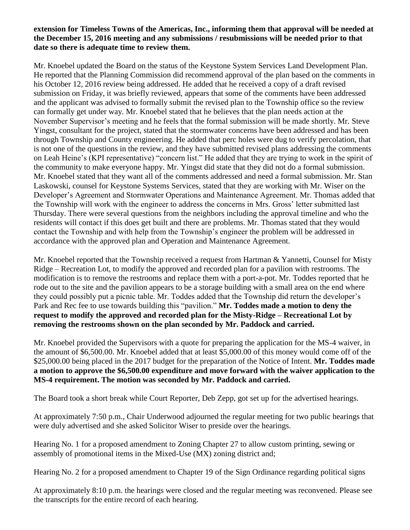### **extension for Timeless Towns of the Americas, Inc., informing them that approval will be needed at the December 15, 2016 meeting and any submissions / resubmissions will be needed prior to that date so there is adequate time to review them.**

Mr. Knoebel updated the Board on the status of the Keystone System Services Land Development Plan. He reported that the Planning Commission did recommend approval of the plan based on the comments in his October 12, 2016 review being addressed. He added that he received a copy of a draft revised submission on Friday, it was briefly reviewed, appears that some of the comments have been addressed and the applicant was advised to formally submit the revised plan to the Township office so the review can formally get under way. Mr. Knoebel stated that he believes that the plan needs action at the November Supervisor's meeting and he feels that the formal submission will be made shortly. Mr. Steve Yingst, consultant for the project, stated that the stormwater concerns have been addressed and has been through Township and County engineering. He added that perc holes were dug to verify percolation, that is not one of the questions in the review, and they have submitted revised plans addressing the comments on Leah Heine's (KPI representative) "concern list." He added that they are trying to work in the spirit of the community to make everyone happy. Mr. Yingst did state that they did not do a formal submission. Mr. Knoebel stated that they want all of the comments addressed and need a formal submission. Mr. Stan Laskowski, counsel for Keystone Systems Services, stated that they are working with Mr. Wiser on the Developer's Agreement and Stormwater Operations and Maintenance Agreement. Mr. Thomas added that the Township will work with the engineer to address the concerns in Mrs. Gross' letter submitted last Thursday. There were several questions from the neighbors including the approval timeline and who the residents will contact if this does get built and there are problems. Mr. Thomas stated that they would contact the Township and with help from the Township's engineer the problem will be addressed in accordance with the approved plan and Operation and Maintenance Agreement.

Mr. Knoebel reported that the Township received a request from Hartman & Yannetti, Counsel for Misty Ridge – Recreation Lot, to modify the approved and recorded plan for a pavilion with restrooms. The modification is to remove the restrooms and replace them with a port-a-pot. Mr. Toddes reported that he rode out to the site and the pavilion appears to be a storage building with a small area on the end where they could possibly put a picnic table. Mr. Toddes added that the Township did return the developer's Park and Rec fee to use towards building this "pavilion." **Mr. Toddes made a motion to deny the request to modify the approved and recorded plan for the Misty-Ridge – Recreational Lot by removing the restrooms shown on the plan seconded by Mr. Paddock and carried.**

Mr. Knoebel provided the Supervisors with a quote for preparing the application for the MS-4 waiver, in the amount of \$6,500.00. Mr. Knoebel added that at least \$5,000.00 of this money would come off of the \$25,000.00 being placed in the 2017 budget for the preparation of the Notice of Intent. **Mr. Toddes made a motion to approve the \$6,500.00 expenditure and move forward with the waiver application to the MS-4 requirement. The motion was seconded by Mr. Paddock and carried.**

The Board took a short break while Court Reporter, Deb Zepp, got set up for the advertised hearings.

At approximately 7:50 p.m., Chair Underwood adjourned the regular meeting for two public hearings that were duly advertised and she asked Solicitor Wiser to preside over the hearings.

Hearing No. 1 for a proposed amendment to Zoning Chapter 27 to allow custom printing, sewing or assembly of promotional items in the Mixed-Use (MX) zoning district and;

Hearing No. 2 for a proposed amendment to Chapter 19 of the Sign Ordinance regarding political signs

At approximately 8:10 p.m. the hearings were closed and the regular meeting was reconvened. Please see the transcripts for the entire record of each hearing.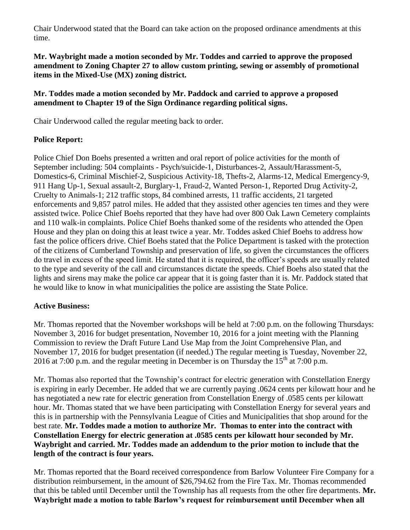Chair Underwood stated that the Board can take action on the proposed ordinance amendments at this time.

## **Mr. Waybright made a motion seconded by Mr. Toddes and carried to approve the proposed amendment to Zoning Chapter 27 to allow custom printing, sewing or assembly of promotional items in the Mixed-Use (MX) zoning district.**

## **Mr. Toddes made a motion seconded by Mr. Paddock and carried to approve a proposed amendment to Chapter 19 of the Sign Ordinance regarding political signs.**

Chair Underwood called the regular meeting back to order.

# **Police Report:**

Police Chief Don Boehs presented a written and oral report of police activities for the month of September including: 504 complaints - Psych/suicide-1, Disturbances-2, Assault/Harassment-5, Domestics-6, Criminal Mischief-2, Suspicious Activity-18, Thefts-2, Alarms-12, Medical Emergency-9, 911 Hang Up-1, Sexual assault-2, Burglary-1, Fraud-2, Wanted Person-1, Reported Drug Activity-2, Cruelty to Animals-1; 212 traffic stops, 84 combined arrests, 11 traffic accidents, 21 targeted enforcements and 9,857 patrol miles. He added that they assisted other agencies ten times and they were assisted twice. Police Chief Boehs reported that they have had over 800 Oak Lawn Cemetery complaints and 110 walk-in complaints. Police Chief Boehs thanked some of the residents who attended the Open House and they plan on doing this at least twice a year. Mr. Toddes asked Chief Boehs to address how fast the police officers drive. Chief Boehs stated that the Police Department is tasked with the protection of the citizens of Cumberland Township and preservation of life, so given the circumstances the officers do travel in excess of the speed limit. He stated that it is required, the officer's speeds are usually related to the type and severity of the call and circumstances dictate the speeds. Chief Boehs also stated that the lights and sirens may make the police car appear that it is going faster than it is. Mr. Paddock stated that he would like to know in what municipalities the police are assisting the State Police.

# **Active Business:**

Mr. Thomas reported that the November workshops will be held at 7:00 p.m. on the following Thursdays: November 3, 2016 for budget presentation, November 10, 2016 for a joint meeting with the Planning Commission to review the Draft Future Land Use Map from the Joint Comprehensive Plan, and November 17, 2016 for budget presentation (if needed.) The regular meeting is Tuesday, November 22, 2016 at 7:00 p.m. and the regular meeting in December is on Thursday the  $15<sup>th</sup>$  at 7:00 p.m.

Mr. Thomas also reported that the Township's contract for electric generation with Constellation Energy is expiring in early December. He added that we are currently paying .0624 cents per kilowatt hour and he has negotiated a new rate for electric generation from Constellation Energy of .0585 cents per kilowatt hour. Mr. Thomas stated that we have been participating with Constellation Energy for several years and this is in partnership with the Pennsylvania League of Cities and Municipalities that shop around for the best rate. **Mr. Toddes made a motion to authorize Mr. Thomas to enter into the contract with Constellation Energy for electric generation at .0585 cents per kilowatt hour seconded by Mr. Waybright and carried. Mr. Toddes made an addendum to the prior motion to include that the length of the contract is four years.**

Mr. Thomas reported that the Board received correspondence from Barlow Volunteer Fire Company for a distribution reimbursement, in the amount of \$26,794.62 from the Fire Tax. Mr. Thomas recommended that this be tabled until December until the Township has all requests from the other fire departments. **Mr. Waybright made a motion to table Barlow's request for reimbursement until December when all**